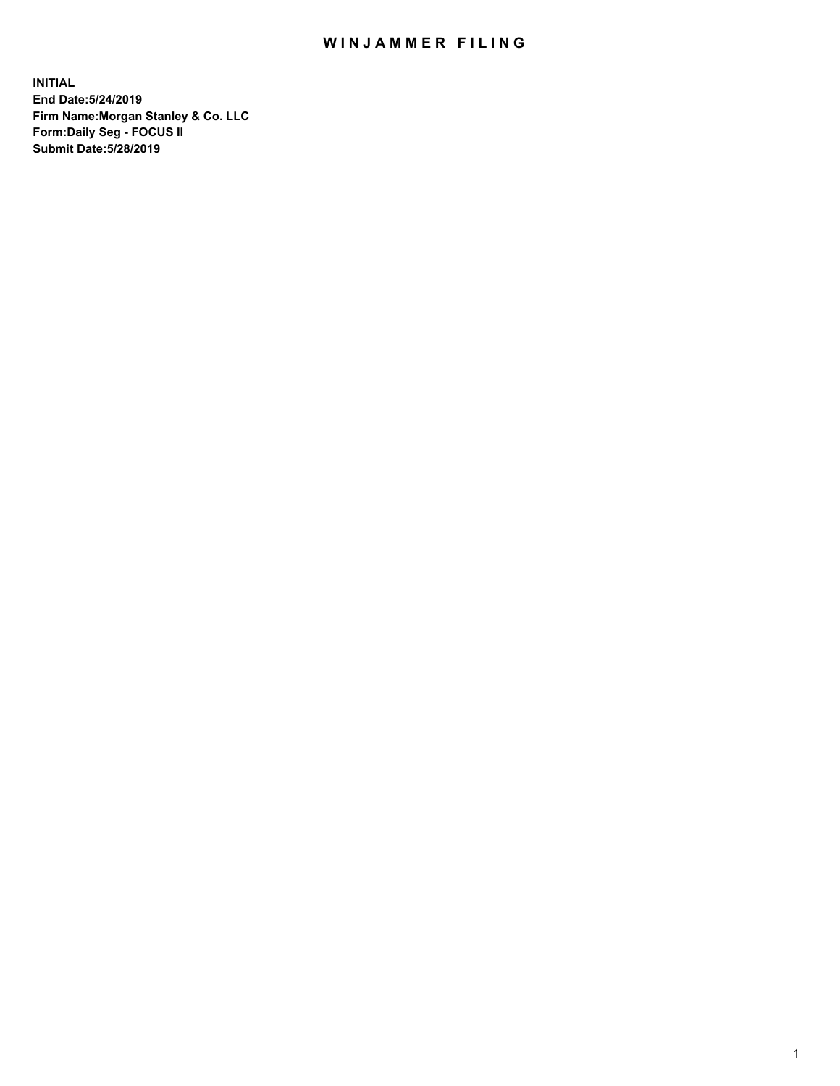## WIN JAMMER FILING

**INITIAL End Date:5/24/2019 Firm Name:Morgan Stanley & Co. LLC Form:Daily Seg - FOCUS II Submit Date:5/28/2019**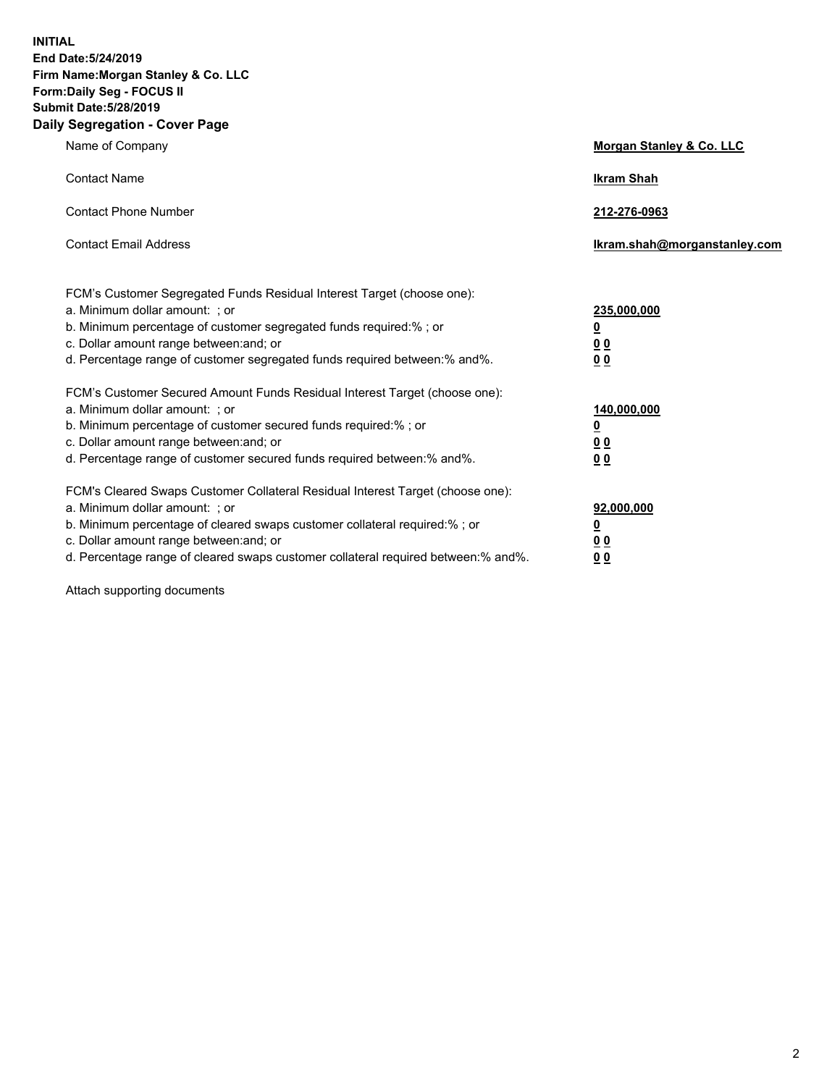**INITIAL End Date:5/24/2019 Firm Name:Morgan Stanley & Co. LLC Form:Daily Seg - FOCUS II Submit Date:5/28/2019 Daily Segregation - Cover Page**

| Name of Company                                                                                                                                                                                                                                                                                                                | Morgan Stanley & Co. LLC                                    |
|--------------------------------------------------------------------------------------------------------------------------------------------------------------------------------------------------------------------------------------------------------------------------------------------------------------------------------|-------------------------------------------------------------|
| <b>Contact Name</b>                                                                                                                                                                                                                                                                                                            | <b>Ikram Shah</b>                                           |
| <b>Contact Phone Number</b>                                                                                                                                                                                                                                                                                                    | 212-276-0963                                                |
| <b>Contact Email Address</b>                                                                                                                                                                                                                                                                                                   | Ikram.shah@morganstanley.com                                |
| FCM's Customer Segregated Funds Residual Interest Target (choose one):<br>a. Minimum dollar amount: : or<br>b. Minimum percentage of customer segregated funds required:% ; or<br>c. Dollar amount range between: and; or<br>d. Percentage range of customer segregated funds required between: % and %.                       | 235,000,000<br><u>0</u><br>00<br>00                         |
| FCM's Customer Secured Amount Funds Residual Interest Target (choose one):<br>a. Minimum dollar amount: ; or<br>b. Minimum percentage of customer secured funds required:%; or<br>c. Dollar amount range between: and; or<br>d. Percentage range of customer secured funds required between:% and%.                            | 140,000,000<br><u>0</u><br>0 <sub>0</sub><br>0 <sub>0</sub> |
| FCM's Cleared Swaps Customer Collateral Residual Interest Target (choose one):<br>a. Minimum dollar amount: ; or<br>b. Minimum percentage of cleared swaps customer collateral required:% ; or<br>c. Dollar amount range between: and; or<br>d. Percentage range of cleared swaps customer collateral required between:% and%. | 92,000,000<br><u>0</u><br><u>00</u><br>0 <sub>0</sub>       |

Attach supporting documents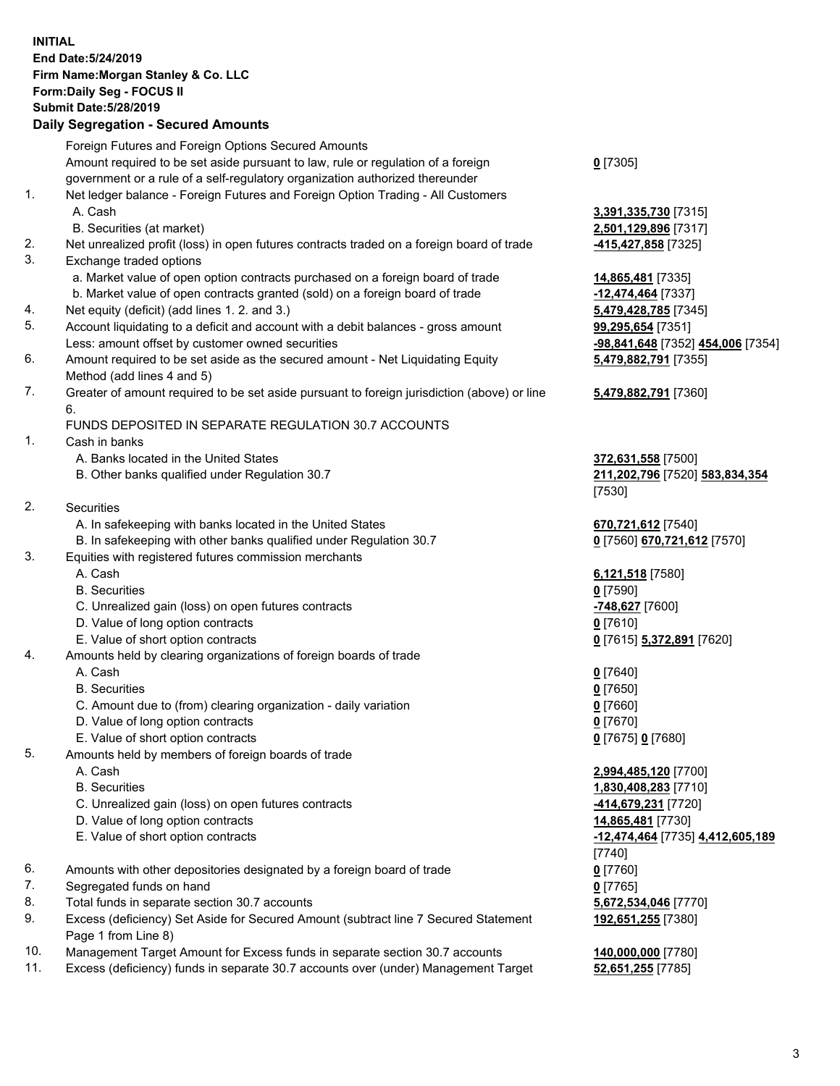## **INITIAL End Date:5/24/2019 Firm Name:Morgan Stanley & Co. LLC Form:Daily Seg - FOCUS II Submit Date:5/28/2019**

## **Daily Segregation - Secured Amounts**

|     | Foreign Futures and Foreign Options Secured Amounts                                                |                                   |
|-----|----------------------------------------------------------------------------------------------------|-----------------------------------|
|     | Amount required to be set aside pursuant to law, rule or regulation of a foreign                   | $0$ [7305]                        |
|     |                                                                                                    |                                   |
|     | government or a rule of a self-regulatory organization authorized thereunder                       |                                   |
| 1.  | Net ledger balance - Foreign Futures and Foreign Option Trading - All Customers                    |                                   |
|     | A. Cash                                                                                            | 3,391,335,730 [7315]              |
|     | B. Securities (at market)                                                                          | 2,501,129,896 [7317]              |
| 2.  | Net unrealized profit (loss) in open futures contracts traded on a foreign board of trade          | 415,427,858 [7325]                |
| 3.  | Exchange traded options                                                                            |                                   |
|     | a. Market value of open option contracts purchased on a foreign board of trade                     | 14,865,481 [7335]                 |
|     | b. Market value of open contracts granted (sold) on a foreign board of trade                       | $-12,474,464$ [7337]              |
| 4.  | Net equity (deficit) (add lines 1.2. and 3.)                                                       | 5,479,428,785 [7345]              |
| 5.  | Account liquidating to a deficit and account with a debit balances - gross amount                  | 99,295,654 [7351]                 |
|     | Less: amount offset by customer owned securities                                                   | -98,841,648 [7352] 454,006 [7354] |
| 6.  | Amount required to be set aside as the secured amount - Net Liquidating Equity                     | 5,479,882,791 [7355]              |
|     | Method (add lines 4 and 5)                                                                         |                                   |
| 7.  | Greater of amount required to be set aside pursuant to foreign jurisdiction (above) or line        | 5,479,882,791 [7360]              |
|     | 6.                                                                                                 |                                   |
|     | FUNDS DEPOSITED IN SEPARATE REGULATION 30.7 ACCOUNTS                                               |                                   |
| 1.  | Cash in banks                                                                                      |                                   |
|     | A. Banks located in the United States                                                              | 372,631,558 [7500]                |
|     | B. Other banks qualified under Regulation 30.7                                                     | 211,202,796 [7520] 583,834,354    |
|     |                                                                                                    | [7530]                            |
| 2.  | Securities                                                                                         |                                   |
|     | A. In safekeeping with banks located in the United States                                          | 670,721,612 [7540]                |
|     | B. In safekeeping with other banks qualified under Regulation 30.7                                 |                                   |
| 3.  |                                                                                                    | 0 [7560] 670,721,612 [7570]       |
|     | Equities with registered futures commission merchants                                              |                                   |
|     | A. Cash                                                                                            | 6,121,518 [7580]                  |
|     | <b>B.</b> Securities                                                                               | $0$ [7590]                        |
|     | C. Unrealized gain (loss) on open futures contracts                                                | -748,627 [7600]                   |
|     | D. Value of long option contracts                                                                  | $0$ [7610]                        |
|     | E. Value of short option contracts                                                                 | 0 [7615] 5,372,891 [7620]         |
| 4.  | Amounts held by clearing organizations of foreign boards of trade                                  |                                   |
|     | A. Cash                                                                                            | $0$ [7640]                        |
|     | <b>B.</b> Securities                                                                               | $0$ [7650]                        |
|     | C. Amount due to (from) clearing organization - daily variation                                    | $0$ [7660]                        |
|     | D. Value of long option contracts                                                                  | $0$ [7670]                        |
|     | E. Value of short option contracts                                                                 | 0 [7675] 0 [7680]                 |
| 5.  | Amounts held by members of foreign boards of trade                                                 |                                   |
|     | A. Cash                                                                                            | 2,994,485,120 [7700]              |
|     | <b>B.</b> Securities                                                                               | 1,830,408,283 [7710]              |
|     | C. Unrealized gain (loss) on open futures contracts                                                | <u>-414,679,231</u> [7720]        |
|     | D. Value of long option contracts                                                                  | 14,865,481 [7730]                 |
|     | E. Value of short option contracts                                                                 | -12,474,464 [7735] 4,412,605,189  |
|     |                                                                                                    | $[7740]$                          |
| 6.  | Amounts with other depositories designated by a foreign board of trade                             | $0$ [7760]                        |
| 7.  | Segregated funds on hand                                                                           |                                   |
| 8.  | Total funds in separate section 30.7 accounts                                                      | $0$ [7765]                        |
| 9.  |                                                                                                    | 5,672,534,046 [7770]              |
|     | Excess (deficiency) Set Aside for Secured Amount (subtract line 7 Secured Statement                | 192,651,255 [7380]                |
| 1 N | Page 1 from Line 8)<br>Management Target Amount for Excess funds in senarate section 30.7 accounts | 140.000.000.177801                |
|     |                                                                                                    |                                   |

10. Management Target Amount for Excess funds in separate section 30.7 accounts **140,000,000** [7780] 11. Excess (deficiency) funds in separate 30.7 accounts over (under) Management Target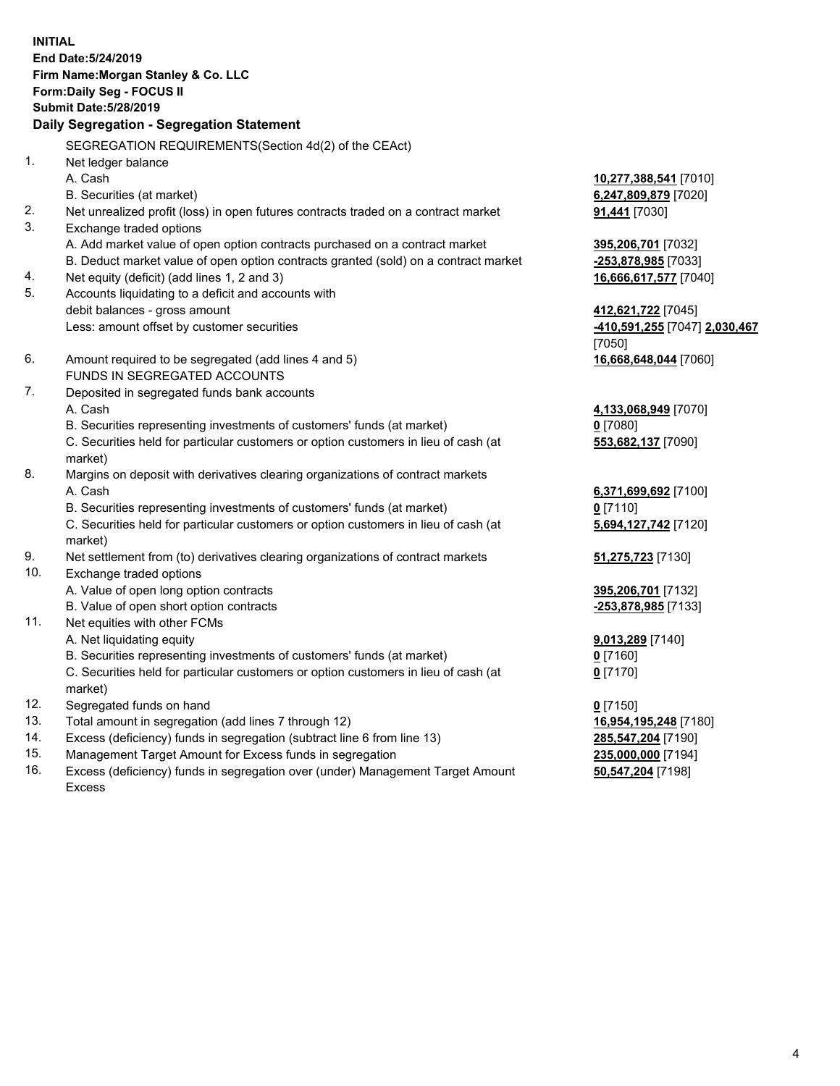**INITIAL End Date:5/24/2019 Firm Name:Morgan Stanley & Co. LLC Form:Daily Seg - FOCUS II Submit Date:5/28/2019 Daily Segregation - Segregation Statement** SEGREGATION REQUIREMENTS(Section 4d(2) of the CEAct) 1. Net ledger balance A. Cash **10,277,388,541** [7010] B. Securities (at market) **6,247,809,879** [7020] 2. Net unrealized profit (loss) in open futures contracts traded on a contract market **91,441** [7030] 3. Exchange traded options A. Add market value of open option contracts purchased on a contract market **395,206,701** [7032] B. Deduct market value of open option contracts granted (sold) on a contract market **-253,878,985** [7033] 4. Net equity (deficit) (add lines 1, 2 and 3) **16,666,617,577** [7040] 5. Accounts liquidating to a deficit and accounts with debit balances - gross amount **412,621,722** [7045] Less: amount offset by customer securities **-410,591,255** [7047] **2,030,467** [7050] 6. Amount required to be segregated (add lines 4 and 5) **16,668,648,044** [7060] FUNDS IN SEGREGATED ACCOUNTS 7. Deposited in segregated funds bank accounts A. Cash **4,133,068,949** [7070] B. Securities representing investments of customers' funds (at market) **0** [7080] C. Securities held for particular customers or option customers in lieu of cash (at market) **553,682,137** [7090] 8. Margins on deposit with derivatives clearing organizations of contract markets A. Cash **6,371,699,692** [7100] B. Securities representing investments of customers' funds (at market) **0** [7110] C. Securities held for particular customers or option customers in lieu of cash (at market) **5,694,127,742** [7120] 9. Net settlement from (to) derivatives clearing organizations of contract markets **51,275,723** [7130] 10. Exchange traded options A. Value of open long option contracts **395,206,701** [7132] B. Value of open short option contracts **-253,878,985** [7133] 11. Net equities with other FCMs A. Net liquidating equity **9,013,289** [7140] B. Securities representing investments of customers' funds (at market) **0** [7160] C. Securities held for particular customers or option customers in lieu of cash (at market) **0** [7170] 12. Segregated funds on hand **0** [7150] 13. Total amount in segregation (add lines 7 through 12) **16,954,195,248** [7180] 14. Excess (deficiency) funds in segregation (subtract line 6 from line 13) **285,547,204** [7190]

- 15. Management Target Amount for Excess funds in segregation **235,000,000** [7194]
- 16. Excess (deficiency) funds in segregation over (under) Management Target Amount Excess

**50,547,204** [7198]